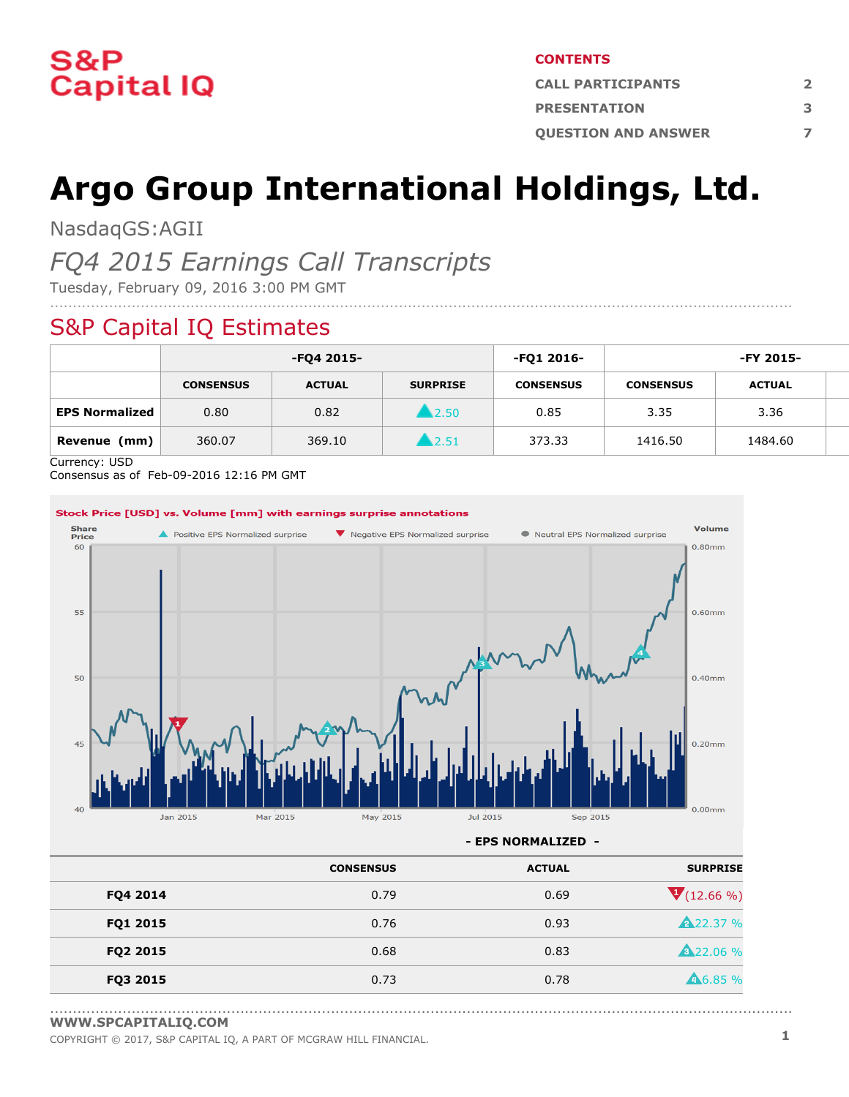

#### **CONTENTS**

| <b>CALL PARTICIPANTS</b>   |   |
|----------------------------|---|
| <b>PRESENTATION</b>        | в |
| <b>OUESTION AND ANSWER</b> |   |

# **Argo Group International Holdings, Ltd.**

....................................................................................................................................................................

NasdaqGS:AGII

# *FQ4 2015 Earnings Call Transcripts*

Tuesday, February 09, 2016 3:00 PM GMT

# S&P Capital IQ Estimates

|                       | -FQ4 2015-       |               | -FQ1 2016-      | -FY 2015-        |                  |               |  |
|-----------------------|------------------|---------------|-----------------|------------------|------------------|---------------|--|
|                       | <b>CONSENSUS</b> | <b>ACTUAL</b> | <b>SURPRISE</b> | <b>CONSENSUS</b> | <b>CONSENSUS</b> | <b>ACTUAL</b> |  |
| <b>EPS Normalized</b> | 0.80             | 0.82          | 12.50           | 0.85             | 3.35             | 3.36          |  |
| Revenue<br>(mm)       | 360.07           | 369.10        | 12.51           | 373.33           | 1416.50          | 1484.60       |  |

Currency: USD

Consensus as of Feb-09-2016 12:16 PM GMT



**- EPS NORMALIZED -**

| <b>SURPRISE</b>    | <b>ACTUAL</b> | <b>CONSENSUS</b> |          |
|--------------------|---------------|------------------|----------|
| $V(12.66\%)$       | 0.69          | 0.79             | FQ4 2014 |
| <b>A22.37 %</b>    | 0.93          | 0.76             | FQ1 2015 |
| <b>A22.06 %</b>    | 0.83          | 0.68             | FQ2 2015 |
| $\triangle$ 6.85 % | 0.78          | 0.73             | FQ3 2015 |

<sup>....................................................................................................................................................................</sup> **[WWW.SPCAPITALIQ.COM](https://www.capitaliq.com/home.aspx)**

COPYRIGHT © 2017, S&P CAPITAL IQ, <sup>A</sup> PART OF MCGRAW HILL FINANCIAL. **1**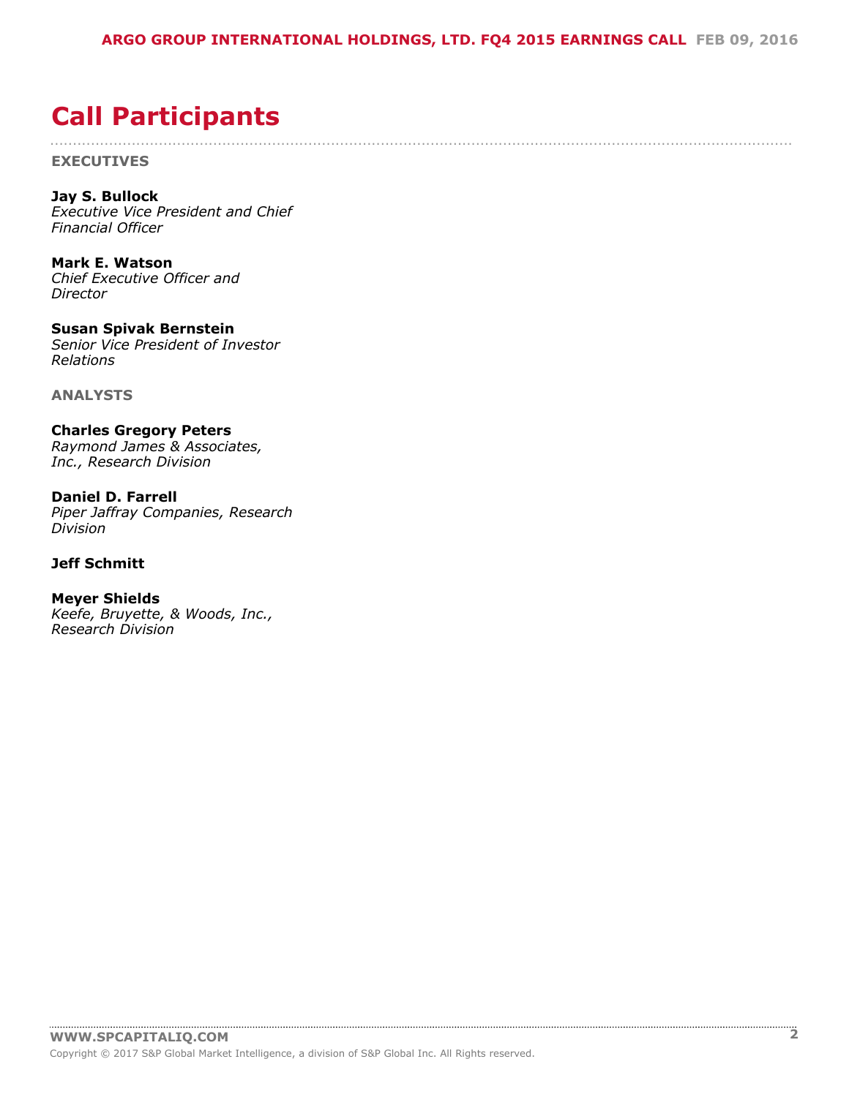....................................................................................................................................................................

# <span id="page-1-0"></span>**Call Participants**

**EXECUTIVES**

**Jay S. Bullock** *Executive Vice President and Chief Financial Officer*

**Mark E. Watson** *Chief Executive Officer and Director*

**Susan Spivak Bernstein** *Senior Vice President of Investor Relations*

**ANALYSTS**

**Charles Gregory Peters** *Raymond James & Associates, Inc., Research Division*

**Daniel D. Farrell** *Piper Jaffray Companies, Research Division*

# **Jeff Schmitt**

**Meyer Shields** *Keefe, Bruyette, & Woods, Inc., Research Division*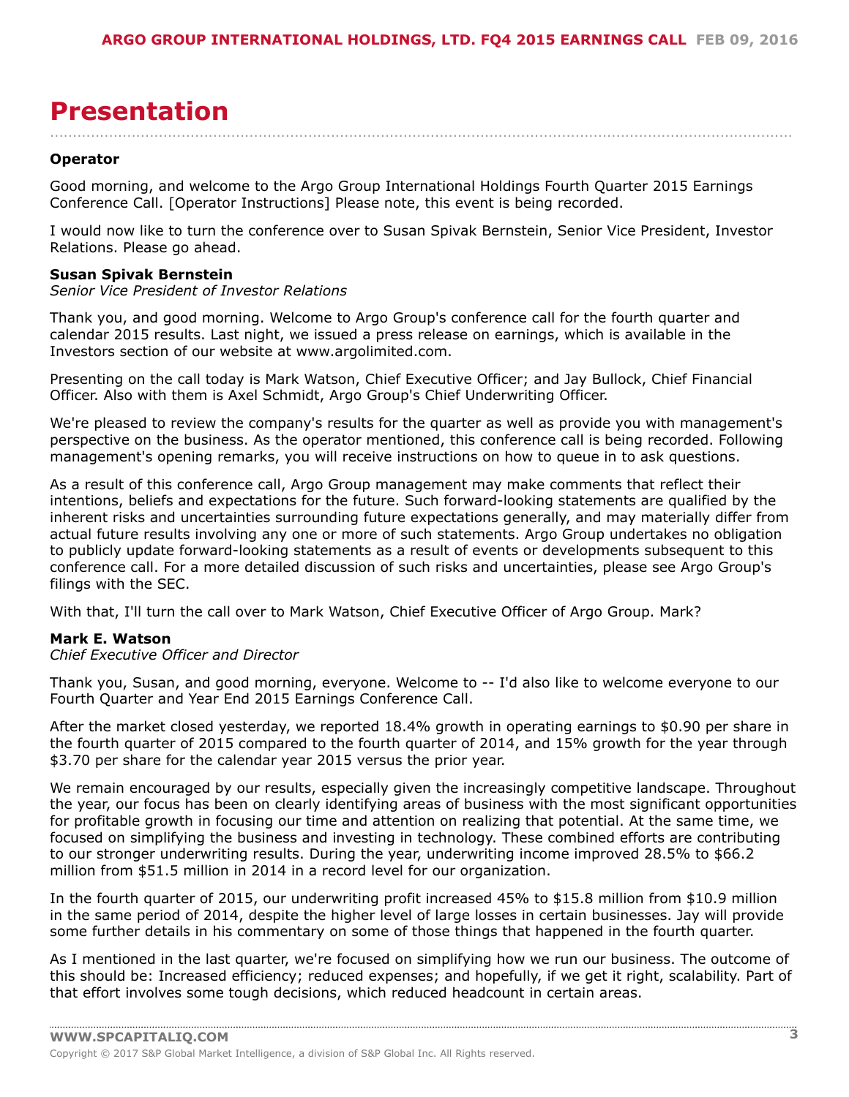# <span id="page-2-0"></span>**Presentation**

### **Operator**

Good morning, and welcome to the Argo Group International Holdings Fourth Quarter 2015 Earnings Conference Call. [Operator Instructions] Please note, this event is being recorded.

I would now like to turn the conference over to Susan Spivak Bernstein, Senior Vice President, Investor Relations. Please go ahead.

....................................................................................................................................................................

#### **Susan Spivak Bernstein**

*Senior Vice President of Investor Relations*

Thank you, and good morning. Welcome to Argo Group's conference call for the fourth quarter and calendar 2015 results. Last night, we issued a press release on earnings, which is available in the Investors section of our website at www.argolimited.com.

Presenting on the call today is Mark Watson, Chief Executive Officer; and Jay Bullock, Chief Financial Officer. Also with them is Axel Schmidt, Argo Group's Chief Underwriting Officer.

We're pleased to review the company's results for the quarter as well as provide you with management's perspective on the business. As the operator mentioned, this conference call is being recorded. Following management's opening remarks, you will receive instructions on how to queue in to ask questions.

As a result of this conference call, Argo Group management may make comments that reflect their intentions, beliefs and expectations for the future. Such forward-looking statements are qualified by the inherent risks and uncertainties surrounding future expectations generally, and may materially differ from actual future results involving any one or more of such statements. Argo Group undertakes no obligation to publicly update forward-looking statements as a result of events or developments subsequent to this conference call. For a more detailed discussion of such risks and uncertainties, please see Argo Group's filings with the SEC.

With that, I'll turn the call over to Mark Watson, Chief Executive Officer of Argo Group. Mark?

#### **Mark E. Watson**

*Chief Executive Officer and Director*

Thank you, Susan, and good morning, everyone. Welcome to -- I'd also like to welcome everyone to our Fourth Quarter and Year End 2015 Earnings Conference Call.

After the market closed yesterday, we reported 18.4% growth in operating earnings to \$0.90 per share in the fourth quarter of 2015 compared to the fourth quarter of 2014, and 15% growth for the year through \$3.70 per share for the calendar year 2015 versus the prior year.

We remain encouraged by our results, especially given the increasingly competitive landscape. Throughout the year, our focus has been on clearly identifying areas of business with the most significant opportunities for profitable growth in focusing our time and attention on realizing that potential. At the same time, we focused on simplifying the business and investing in technology. These combined efforts are contributing to our stronger underwriting results. During the year, underwriting income improved 28.5% to \$66.2 million from \$51.5 million in 2014 in a record level for our organization.

In the fourth quarter of 2015, our underwriting profit increased 45% to \$15.8 million from \$10.9 million in the same period of 2014, despite the higher level of large losses in certain businesses. Jay will provide some further details in his commentary on some of those things that happened in the fourth quarter.

As I mentioned in the last quarter, we're focused on simplifying how we run our business. The outcome of this should be: Increased efficiency; reduced expenses; and hopefully, if we get it right, scalability. Part of that effort involves some tough decisions, which reduced headcount in certain areas.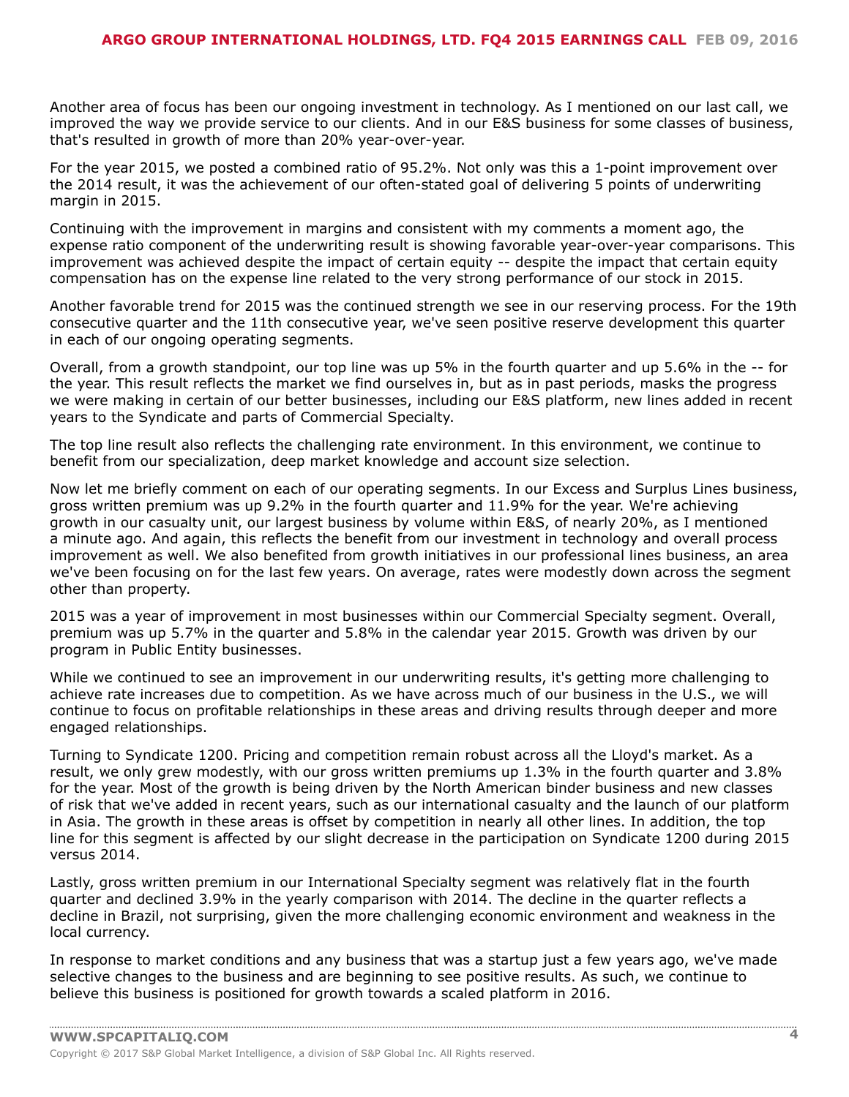Another area of focus has been our ongoing investment in technology. As I mentioned on our last call, we improved the way we provide service to our clients. And in our E&S business for some classes of business, that's resulted in growth of more than 20% year-over-year.

For the year 2015, we posted a combined ratio of 95.2%. Not only was this a 1-point improvement over the 2014 result, it was the achievement of our often-stated goal of delivering 5 points of underwriting margin in 2015.

Continuing with the improvement in margins and consistent with my comments a moment ago, the expense ratio component of the underwriting result is showing favorable year-over-year comparisons. This improvement was achieved despite the impact of certain equity -- despite the impact that certain equity compensation has on the expense line related to the very strong performance of our stock in 2015.

Another favorable trend for 2015 was the continued strength we see in our reserving process. For the 19th consecutive quarter and the 11th consecutive year, we've seen positive reserve development this quarter in each of our ongoing operating segments.

Overall, from a growth standpoint, our top line was up 5% in the fourth quarter and up 5.6% in the -- for the year. This result reflects the market we find ourselves in, but as in past periods, masks the progress we were making in certain of our better businesses, including our E&S platform, new lines added in recent years to the Syndicate and parts of Commercial Specialty.

The top line result also reflects the challenging rate environment. In this environment, we continue to benefit from our specialization, deep market knowledge and account size selection.

Now let me briefly comment on each of our operating segments. In our Excess and Surplus Lines business, gross written premium was up 9.2% in the fourth quarter and 11.9% for the year. We're achieving growth in our casualty unit, our largest business by volume within E&S, of nearly 20%, as I mentioned a minute ago. And again, this reflects the benefit from our investment in technology and overall process improvement as well. We also benefited from growth initiatives in our professional lines business, an area we've been focusing on for the last few years. On average, rates were modestly down across the segment other than property.

2015 was a year of improvement in most businesses within our Commercial Specialty segment. Overall, premium was up 5.7% in the quarter and 5.8% in the calendar year 2015. Growth was driven by our program in Public Entity businesses.

While we continued to see an improvement in our underwriting results, it's getting more challenging to achieve rate increases due to competition. As we have across much of our business in the U.S., we will continue to focus on profitable relationships in these areas and driving results through deeper and more engaged relationships.

Turning to Syndicate 1200. Pricing and competition remain robust across all the Lloyd's market. As a result, we only grew modestly, with our gross written premiums up 1.3% in the fourth quarter and 3.8% for the year. Most of the growth is being driven by the North American binder business and new classes of risk that we've added in recent years, such as our international casualty and the launch of our platform in Asia. The growth in these areas is offset by competition in nearly all other lines. In addition, the top line for this segment is affected by our slight decrease in the participation on Syndicate 1200 during 2015 versus 2014.

Lastly, gross written premium in our International Specialty segment was relatively flat in the fourth quarter and declined 3.9% in the yearly comparison with 2014. The decline in the quarter reflects a decline in Brazil, not surprising, given the more challenging economic environment and weakness in the local currency.

In response to market conditions and any business that was a startup just a few years ago, we've made selective changes to the business and are beginning to see positive results. As such, we continue to believe this business is positioned for growth towards a scaled platform in 2016.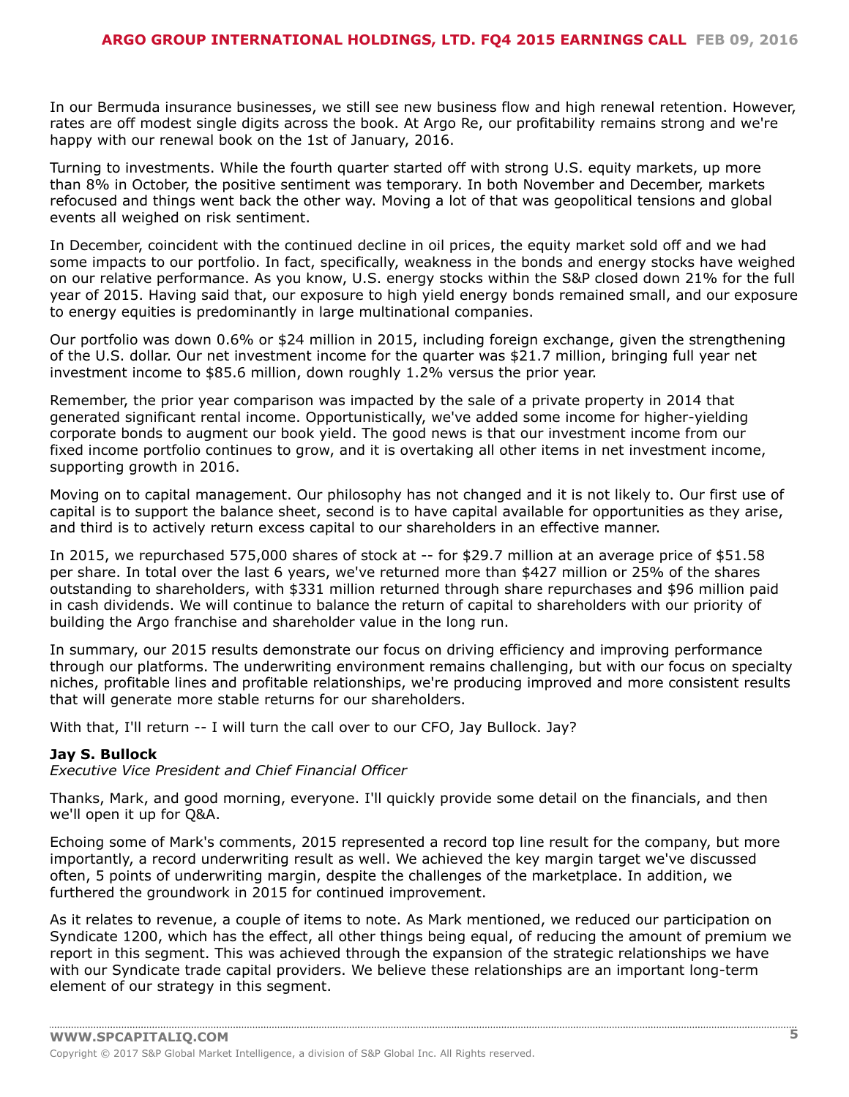In our Bermuda insurance businesses, we still see new business flow and high renewal retention. However, rates are off modest single digits across the book. At Argo Re, our profitability remains strong and we're happy with our renewal book on the 1st of January, 2016.

Turning to investments. While the fourth quarter started off with strong U.S. equity markets, up more than 8% in October, the positive sentiment was temporary. In both November and December, markets refocused and things went back the other way. Moving a lot of that was geopolitical tensions and global events all weighed on risk sentiment.

In December, coincident with the continued decline in oil prices, the equity market sold off and we had some impacts to our portfolio. In fact, specifically, weakness in the bonds and energy stocks have weighed on our relative performance. As you know, U.S. energy stocks within the S&P closed down 21% for the full year of 2015. Having said that, our exposure to high yield energy bonds remained small, and our exposure to energy equities is predominantly in large multinational companies.

Our portfolio was down 0.6% or \$24 million in 2015, including foreign exchange, given the strengthening of the U.S. dollar. Our net investment income for the quarter was \$21.7 million, bringing full year net investment income to \$85.6 million, down roughly 1.2% versus the prior year.

Remember, the prior year comparison was impacted by the sale of a private property in 2014 that generated significant rental income. Opportunistically, we've added some income for higher-yielding corporate bonds to augment our book yield. The good news is that our investment income from our fixed income portfolio continues to grow, and it is overtaking all other items in net investment income, supporting growth in 2016.

Moving on to capital management. Our philosophy has not changed and it is not likely to. Our first use of capital is to support the balance sheet, second is to have capital available for opportunities as they arise, and third is to actively return excess capital to our shareholders in an effective manner.

In 2015, we repurchased 575,000 shares of stock at -- for \$29.7 million at an average price of \$51.58 per share. In total over the last 6 years, we've returned more than \$427 million or 25% of the shares outstanding to shareholders, with \$331 million returned through share repurchases and \$96 million paid in cash dividends. We will continue to balance the return of capital to shareholders with our priority of building the Argo franchise and shareholder value in the long run.

In summary, our 2015 results demonstrate our focus on driving efficiency and improving performance through our platforms. The underwriting environment remains challenging, but with our focus on specialty niches, profitable lines and profitable relationships, we're producing improved and more consistent results that will generate more stable returns for our shareholders.

With that, I'll return -- I will turn the call over to our CFO, Jay Bullock. Jay?

# **Jay S. Bullock**

*Executive Vice President and Chief Financial Officer*

Thanks, Mark, and good morning, everyone. I'll quickly provide some detail on the financials, and then we'll open it up for Q&A.

Echoing some of Mark's comments, 2015 represented a record top line result for the company, but more importantly, a record underwriting result as well. We achieved the key margin target we've discussed often, 5 points of underwriting margin, despite the challenges of the marketplace. In addition, we furthered the groundwork in 2015 for continued improvement.

As it relates to revenue, a couple of items to note. As Mark mentioned, we reduced our participation on Syndicate 1200, which has the effect, all other things being equal, of reducing the amount of premium we report in this segment. This was achieved through the expansion of the strategic relationships we have with our Syndicate trade capital providers. We believe these relationships are an important long-term element of our strategy in this segment.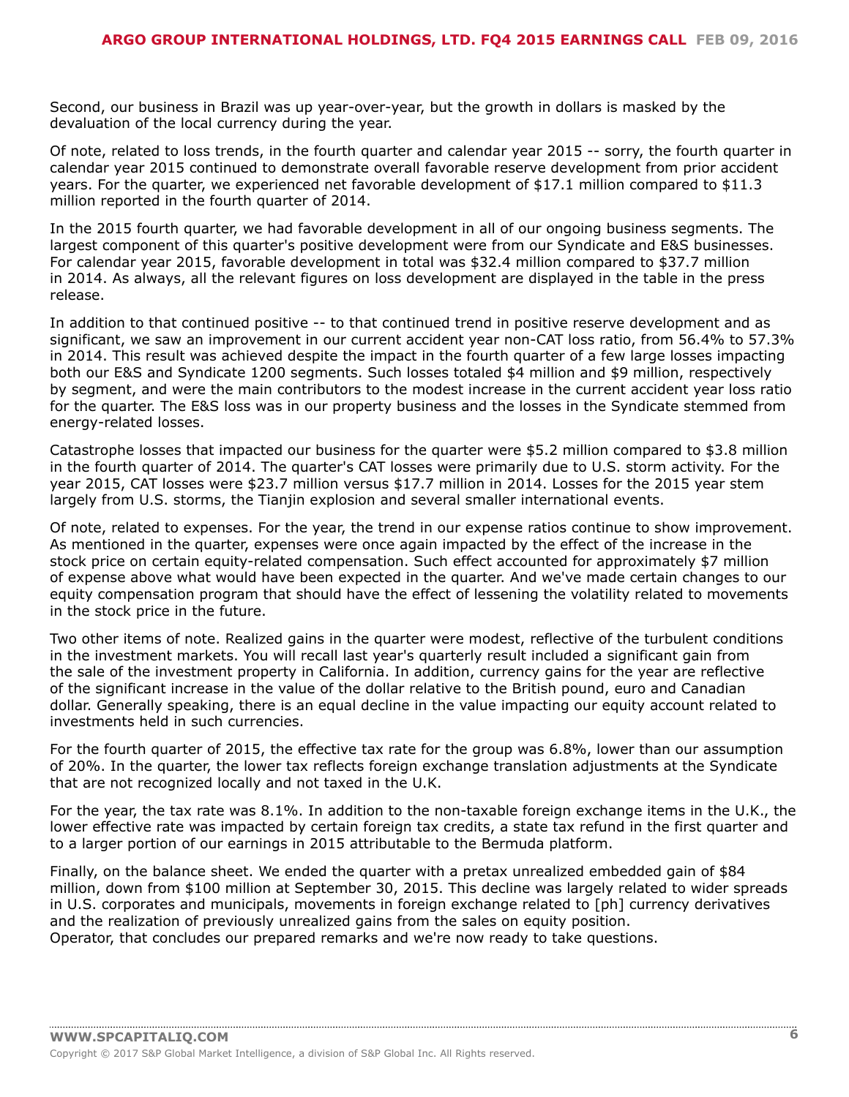Second, our business in Brazil was up year-over-year, but the growth in dollars is masked by the devaluation of the local currency during the year.

Of note, related to loss trends, in the fourth quarter and calendar year 2015 -- sorry, the fourth quarter in calendar year 2015 continued to demonstrate overall favorable reserve development from prior accident years. For the quarter, we experienced net favorable development of \$17.1 million compared to \$11.3 million reported in the fourth quarter of 2014.

In the 2015 fourth quarter, we had favorable development in all of our ongoing business segments. The largest component of this quarter's positive development were from our Syndicate and E&S businesses. For calendar year 2015, favorable development in total was \$32.4 million compared to \$37.7 million in 2014. As always, all the relevant figures on loss development are displayed in the table in the press release.

In addition to that continued positive -- to that continued trend in positive reserve development and as significant, we saw an improvement in our current accident year non-CAT loss ratio, from 56.4% to 57.3% in 2014. This result was achieved despite the impact in the fourth quarter of a few large losses impacting both our E&S and Syndicate 1200 segments. Such losses totaled \$4 million and \$9 million, respectively by segment, and were the main contributors to the modest increase in the current accident year loss ratio for the quarter. The E&S loss was in our property business and the losses in the Syndicate stemmed from energy-related losses.

Catastrophe losses that impacted our business for the quarter were \$5.2 million compared to \$3.8 million in the fourth quarter of 2014. The quarter's CAT losses were primarily due to U.S. storm activity. For the year 2015, CAT losses were \$23.7 million versus \$17.7 million in 2014. Losses for the 2015 year stem largely from U.S. storms, the Tianjin explosion and several smaller international events.

Of note, related to expenses. For the year, the trend in our expense ratios continue to show improvement. As mentioned in the quarter, expenses were once again impacted by the effect of the increase in the stock price on certain equity-related compensation. Such effect accounted for approximately \$7 million of expense above what would have been expected in the quarter. And we've made certain changes to our equity compensation program that should have the effect of lessening the volatility related to movements in the stock price in the future.

Two other items of note. Realized gains in the quarter were modest, reflective of the turbulent conditions in the investment markets. You will recall last year's quarterly result included a significant gain from the sale of the investment property in California. In addition, currency gains for the year are reflective of the significant increase in the value of the dollar relative to the British pound, euro and Canadian dollar. Generally speaking, there is an equal decline in the value impacting our equity account related to investments held in such currencies.

For the fourth quarter of 2015, the effective tax rate for the group was 6.8%, lower than our assumption of 20%. In the quarter, the lower tax reflects foreign exchange translation adjustments at the Syndicate that are not recognized locally and not taxed in the U.K.

For the year, the tax rate was 8.1%. In addition to the non-taxable foreign exchange items in the U.K., the lower effective rate was impacted by certain foreign tax credits, a state tax refund in the first quarter and to a larger portion of our earnings in 2015 attributable to the Bermuda platform.

Finally, on the balance sheet. We ended the quarter with a pretax unrealized embedded gain of \$84 million, down from \$100 million at September 30, 2015. This decline was largely related to wider spreads in U.S. corporates and municipals, movements in foreign exchange related to [ph] currency derivatives and the realization of previously unrealized gains from the sales on equity position.

Operator, that concludes our prepared remarks and we're now ready to take questions.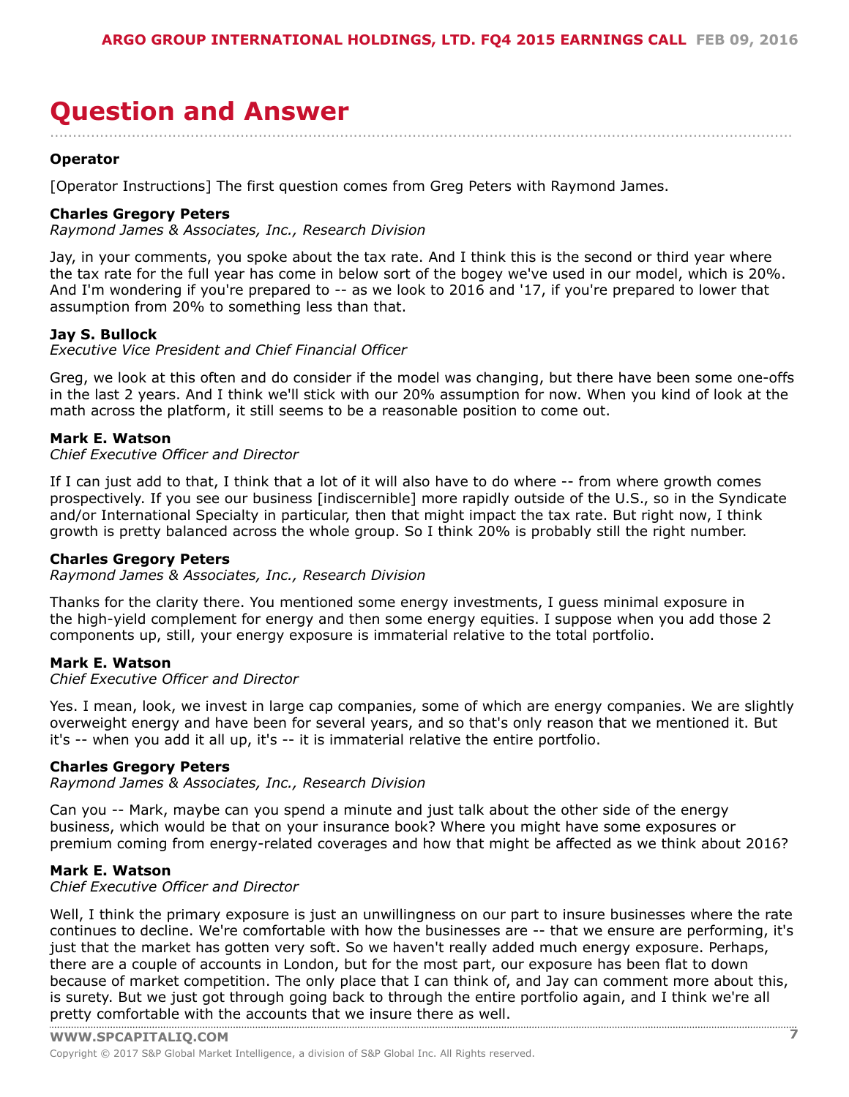# <span id="page-6-0"></span>**Question and Answer**

### **Operator**

[Operator Instructions] The first question comes from Greg Peters with Raymond James.

### **Charles Gregory Peters**

*Raymond James & Associates, Inc., Research Division*

Jay, in your comments, you spoke about the tax rate. And I think this is the second or third year where the tax rate for the full year has come in below sort of the bogey we've used in our model, which is 20%. And I'm wondering if you're prepared to -- as we look to 2016 and '17, if you're prepared to lower that assumption from 20% to something less than that.

....................................................................................................................................................................

### **Jay S. Bullock**

*Executive Vice President and Chief Financial Officer*

Greg, we look at this often and do consider if the model was changing, but there have been some one-offs in the last 2 years. And I think we'll stick with our 20% assumption for now. When you kind of look at the math across the platform, it still seems to be a reasonable position to come out.

#### **Mark E. Watson**

*Chief Executive Officer and Director*

If I can just add to that, I think that a lot of it will also have to do where -- from where growth comes prospectively. If you see our business [indiscernible] more rapidly outside of the U.S., so in the Syndicate and/or International Specialty in particular, then that might impact the tax rate. But right now, I think growth is pretty balanced across the whole group. So I think 20% is probably still the right number.

#### **Charles Gregory Peters**

*Raymond James & Associates, Inc., Research Division*

Thanks for the clarity there. You mentioned some energy investments, I guess minimal exposure in the high-yield complement for energy and then some energy equities. I suppose when you add those 2 components up, still, your energy exposure is immaterial relative to the total portfolio.

#### **Mark E. Watson**

*Chief Executive Officer and Director*

Yes. I mean, look, we invest in large cap companies, some of which are energy companies. We are slightly overweight energy and have been for several years, and so that's only reason that we mentioned it. But it's -- when you add it all up, it's -- it is immaterial relative the entire portfolio.

#### **Charles Gregory Peters**

*Raymond James & Associates, Inc., Research Division*

Can you -- Mark, maybe can you spend a minute and just talk about the other side of the energy business, which would be that on your insurance book? Where you might have some exposures or premium coming from energy-related coverages and how that might be affected as we think about 2016?

#### **Mark E. Watson**

*Chief Executive Officer and Director*

Well, I think the primary exposure is just an unwillingness on our part to insure businesses where the rate continues to decline. We're comfortable with how the businesses are -- that we ensure are performing, it's just that the market has gotten very soft. So we haven't really added much energy exposure. Perhaps, there are a couple of accounts in London, but for the most part, our exposure has been flat to down because of market competition. The only place that I can think of, and Jay can comment more about this, is surety. But we just got through going back to through the entire portfolio again, and I think we're all pretty [comfortable](www.capitaliq.com) with the accounts that we insure there as well.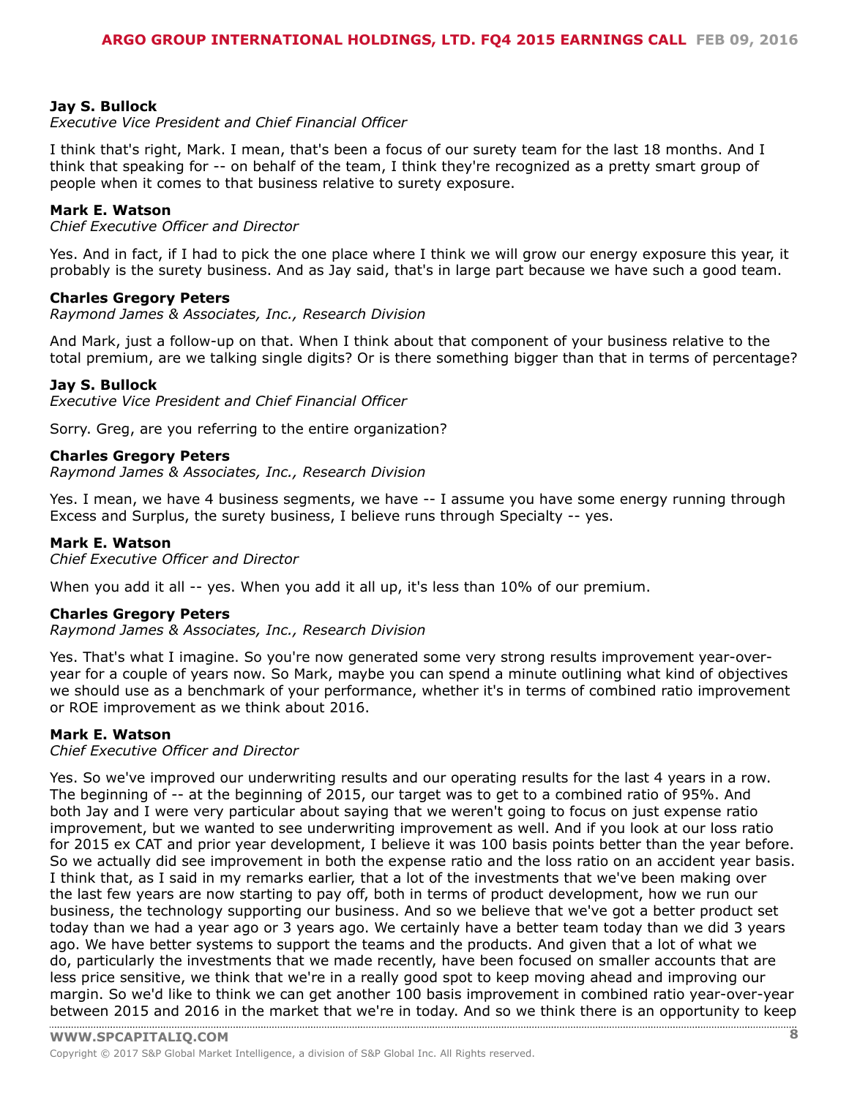# **Jay S. Bullock**

### *Executive Vice President and Chief Financial Officer*

I think that's right, Mark. I mean, that's been a focus of our surety team for the last 18 months. And I think that speaking for -- on behalf of the team, I think they're recognized as a pretty smart group of people when it comes to that business relative to surety exposure.

### **Mark E. Watson**

*Chief Executive Officer and Director*

Yes. And in fact, if I had to pick the one place where I think we will grow our energy exposure this year, it probably is the surety business. And as Jay said, that's in large part because we have such a good team.

#### **Charles Gregory Peters**

*Raymond James & Associates, Inc., Research Division*

And Mark, just a follow-up on that. When I think about that component of your business relative to the total premium, are we talking single digits? Or is there something bigger than that in terms of percentage?

### **Jay S. Bullock**

*Executive Vice President and Chief Financial Officer*

Sorry. Greg, are you referring to the entire organization?

#### **Charles Gregory Peters**

*Raymond James & Associates, Inc., Research Division*

Yes. I mean, we have 4 business segments, we have -- I assume you have some energy running through Excess and Surplus, the surety business, I believe runs through Specialty -- yes.

#### **Mark E. Watson**

*Chief Executive Officer and Director*

When you add it all -- yes. When you add it all up, it's less than 10% of our premium.

#### **Charles Gregory Peters**

*Raymond James & Associates, Inc., Research Division*

Yes. That's what I imagine. So you're now generated some very strong results improvement year-overyear for a couple of years now. So Mark, maybe you can spend a minute outlining what kind of objectives we should use as a benchmark of your performance, whether it's in terms of combined ratio improvement or ROE improvement as we think about 2016.

#### **Mark E. Watson**

*Chief Executive Officer and Director*

Yes. So we've improved our underwriting results and our operating results for the last 4 years in a row. The beginning of -- at the beginning of 2015, our target was to get to a combined ratio of 95%. And both Jay and I were very particular about saying that we weren't going to focus on just expense ratio improvement, but we wanted to see underwriting improvement as well. And if you look at our loss ratio for 2015 ex CAT and prior year development, I believe it was 100 basis points better than the year before. So we actually did see improvement in both the expense ratio and the loss ratio on an accident year basis. I think that, as I said in my remarks earlier, that a lot of the investments that we've been making over the last few years are now starting to pay off, both in terms of product development, how we run our business, the technology supporting our business. And so we believe that we've got a better product set today than we had a year ago or 3 years ago. We certainly have a better team today than we did 3 years ago. We have better systems to support the teams and the products. And given that a lot of what we do, particularly the investments that we made recently, have been focused on smaller accounts that are less price sensitive, we think that we're in a really good spot to keep moving ahead and improving our margin. So we'd like to think we can get another 100 basis improvement in combined ratio year-over-year [between](www.capitaliq.com) 2015 and 2016 in the market that we're in today. And so we think there is an opportunity to keep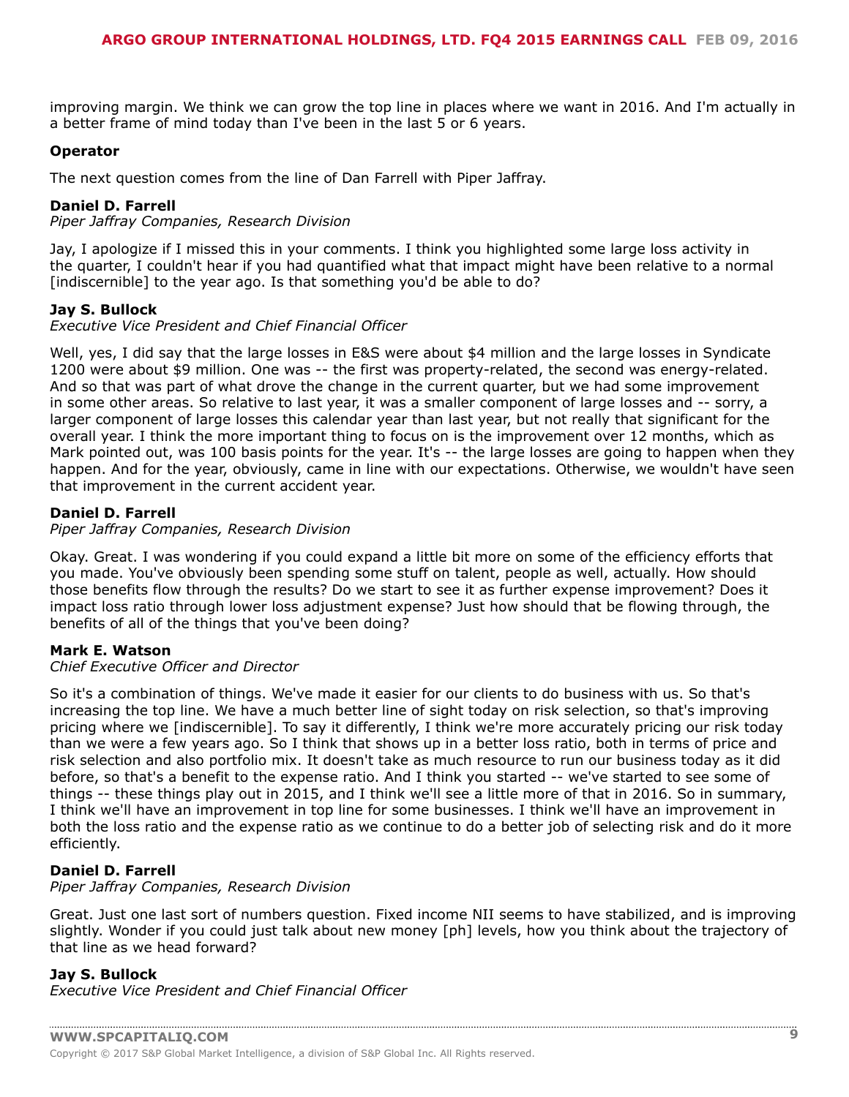improving margin. We think we can grow the top line in places where we want in 2016. And I'm actually in a better frame of mind today than I've been in the last 5 or 6 years.

# **Operator**

The next question comes from the line of Dan Farrell with Piper Jaffray.

# **Daniel D. Farrell**

*Piper Jaffray Companies, Research Division*

Jay, I apologize if I missed this in your comments. I think you highlighted some large loss activity in the quarter, I couldn't hear if you had quantified what that impact might have been relative to a normal [indiscernible] to the year ago. Is that something you'd be able to do?

# **Jay S. Bullock**

*Executive Vice President and Chief Financial Officer*

Well, yes, I did say that the large losses in E&S were about \$4 million and the large losses in Syndicate 1200 were about \$9 million. One was -- the first was property-related, the second was energy-related. And so that was part of what drove the change in the current quarter, but we had some improvement in some other areas. So relative to last year, it was a smaller component of large losses and -- sorry, a larger component of large losses this calendar year than last year, but not really that significant for the overall year. I think the more important thing to focus on is the improvement over 12 months, which as Mark pointed out, was 100 basis points for the year. It's -- the large losses are going to happen when they happen. And for the year, obviously, came in line with our expectations. Otherwise, we wouldn't have seen that improvement in the current accident year.

# **Daniel D. Farrell**

*Piper Jaffray Companies, Research Division*

Okay. Great. I was wondering if you could expand a little bit more on some of the efficiency efforts that you made. You've obviously been spending some stuff on talent, people as well, actually. How should those benefits flow through the results? Do we start to see it as further expense improvement? Does it impact loss ratio through lower loss adjustment expense? Just how should that be flowing through, the benefits of all of the things that you've been doing?

# **Mark E. Watson**

# *Chief Executive Officer and Director*

So it's a combination of things. We've made it easier for our clients to do business with us. So that's increasing the top line. We have a much better line of sight today on risk selection, so that's improving pricing where we [indiscernible]. To say it differently, I think we're more accurately pricing our risk today than we were a few years ago. So I think that shows up in a better loss ratio, both in terms of price and risk selection and also portfolio mix. It doesn't take as much resource to run our business today as it did before, so that's a benefit to the expense ratio. And I think you started -- we've started to see some of things -- these things play out in 2015, and I think we'll see a little more of that in 2016. So in summary, I think we'll have an improvement in top line for some businesses. I think we'll have an improvement in both the loss ratio and the expense ratio as we continue to do a better job of selecting risk and do it more efficiently.

# **Daniel D. Farrell**

#### *Piper Jaffray Companies, Research Division*

Great. Just one last sort of numbers question. Fixed income NII seems to have stabilized, and is improving slightly. Wonder if you could just talk about new money [ph] levels, how you think about the trajectory of that line as we head forward?

# **Jay S. Bullock**

*Executive Vice President and Chief Financial Officer*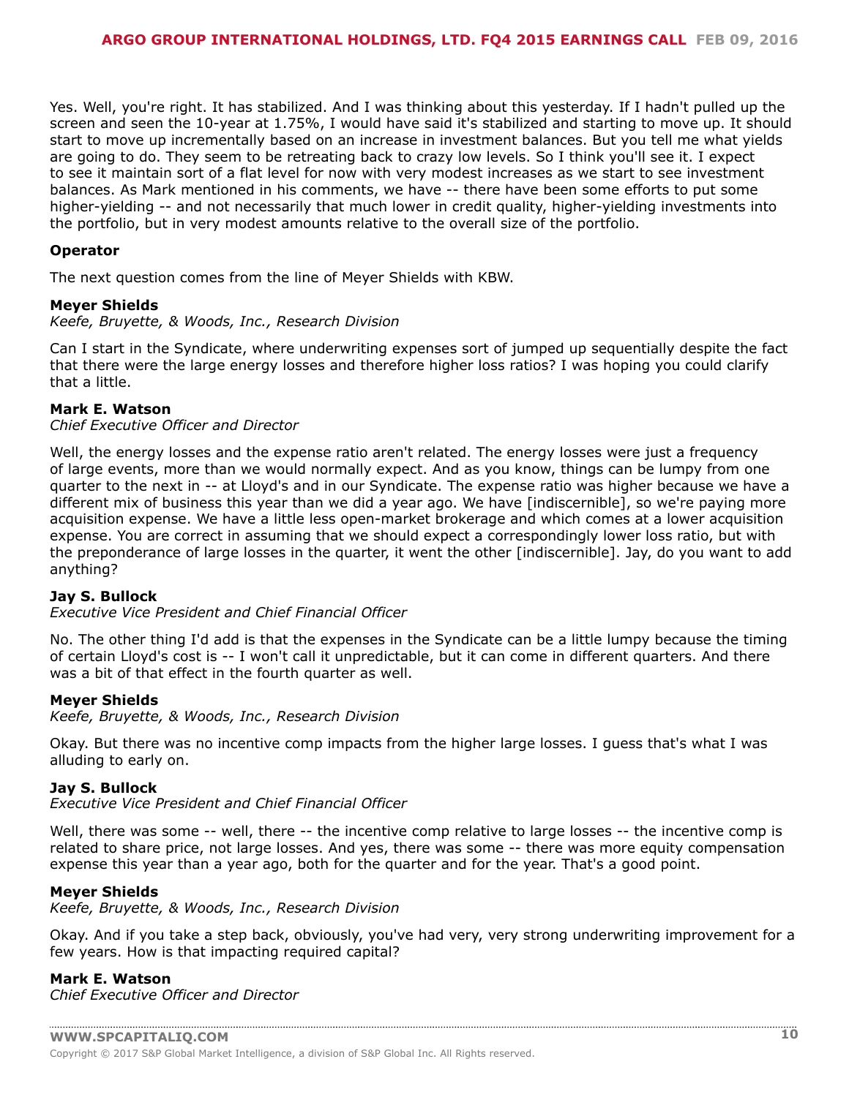Yes. Well, you're right. It has stabilized. And I was thinking about this yesterday. If I hadn't pulled up the screen and seen the 10-year at 1.75%, I would have said it's stabilized and starting to move up. It should start to move up incrementally based on an increase in investment balances. But you tell me what yields are going to do. They seem to be retreating back to crazy low levels. So I think you'll see it. I expect to see it maintain sort of a flat level for now with very modest increases as we start to see investment balances. As Mark mentioned in his comments, we have -- there have been some efforts to put some higher-yielding -- and not necessarily that much lower in credit quality, higher-yielding investments into the portfolio, but in very modest amounts relative to the overall size of the portfolio.

# **Operator**

The next question comes from the line of Meyer Shields with KBW.

### **Meyer Shields**

*Keefe, Bruyette, & Woods, Inc., Research Division*

Can I start in the Syndicate, where underwriting expenses sort of jumped up sequentially despite the fact that there were the large energy losses and therefore higher loss ratios? I was hoping you could clarify that a little.

### **Mark E. Watson**

### *Chief Executive Officer and Director*

Well, the energy losses and the expense ratio aren't related. The energy losses were just a frequency of large events, more than we would normally expect. And as you know, things can be lumpy from one quarter to the next in -- at Lloyd's and in our Syndicate. The expense ratio was higher because we have a different mix of business this year than we did a year ago. We have [indiscernible], so we're paying more acquisition expense. We have a little less open-market brokerage and which comes at a lower acquisition expense. You are correct in assuming that we should expect a correspondingly lower loss ratio, but with the preponderance of large losses in the quarter, it went the other [indiscernible]. Jay, do you want to add anything?

#### **Jay S. Bullock**

*Executive Vice President and Chief Financial Officer*

No. The other thing I'd add is that the expenses in the Syndicate can be a little lumpy because the timing of certain Lloyd's cost is -- I won't call it unpredictable, but it can come in different quarters. And there was a bit of that effect in the fourth quarter as well.

# **Meyer Shields**

*Keefe, Bruyette, & Woods, Inc., Research Division*

Okay. But there was no incentive comp impacts from the higher large losses. I guess that's what I was alluding to early on.

### **Jay S. Bullock**

*Executive Vice President and Chief Financial Officer*

Well, there was some -- well, there -- the incentive comp relative to large losses -- the incentive comp is related to share price, not large losses. And yes, there was some -- there was more equity compensation expense this year than a year ago, both for the quarter and for the year. That's a good point.

#### **Meyer Shields**

*Keefe, Bruyette, & Woods, Inc., Research Division*

Okay. And if you take a step back, obviously, you've had very, very strong underwriting improvement for a few years. How is that impacting required capital?

#### **Mark E. Watson**

*Chief Executive Officer and Director*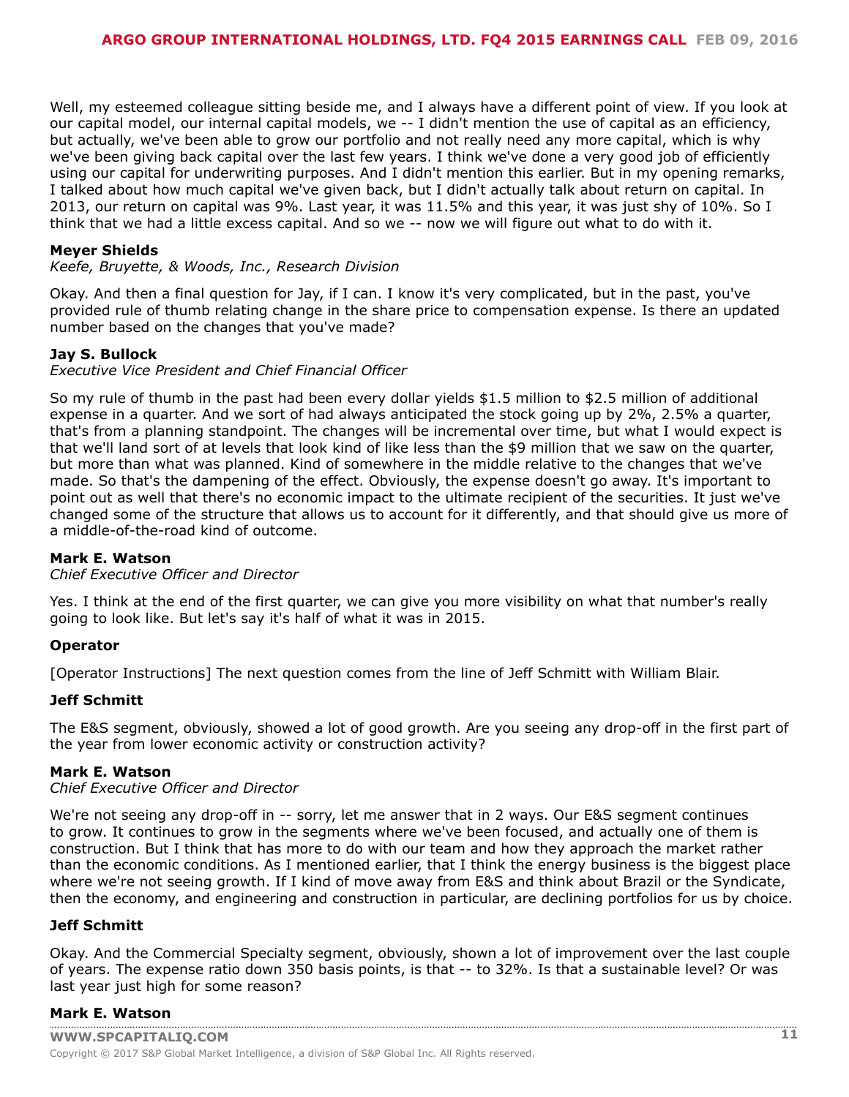Well, my esteemed colleague sitting beside me, and I always have a different point of view. If you look at our capital model, our internal capital models, we -- I didn't mention the use of capital as an efficiency, but actually, we've been able to grow our portfolio and not really need any more capital, which is why we've been giving back capital over the last few years. I think we've done a very good job of efficiently using our capital for underwriting purposes. And I didn't mention this earlier. But in my opening remarks, I talked about how much capital we've given back, but I didn't actually talk about return on capital. In 2013, our return on capital was 9%. Last year, it was 11.5% and this year, it was just shy of 10%. So I think that we had a little excess capital. And so we -- now we will figure out what to do with it.

# **Meyer Shields**

*Keefe, Bruyette, & Woods, Inc., Research Division*

Okay. And then a final question for Jay, if I can. I know it's very complicated, but in the past, you've provided rule of thumb relating change in the share price to compensation expense. Is there an updated number based on the changes that you've made?

# **Jay S. Bullock**

*Executive Vice President and Chief Financial Officer*

So my rule of thumb in the past had been every dollar yields \$1.5 million to \$2.5 million of additional expense in a quarter. And we sort of had always anticipated the stock going up by 2%, 2.5% a quarter, that's from a planning standpoint. The changes will be incremental over time, but what I would expect is that we'll land sort of at levels that look kind of like less than the \$9 million that we saw on the quarter, but more than what was planned. Kind of somewhere in the middle relative to the changes that we've made. So that's the dampening of the effect. Obviously, the expense doesn't go away. It's important to point out as well that there's no economic impact to the ultimate recipient of the securities. It just we've changed some of the structure that allows us to account for it differently, and that should give us more of a middle-of-the-road kind of outcome.

# **Mark E. Watson**

*Chief Executive Officer and Director*

Yes. I think at the end of the first quarter, we can give you more visibility on what that number's really going to look like. But let's say it's half of what it was in 2015.

# **Operator**

[Operator Instructions] The next question comes from the line of Jeff Schmitt with William Blair.

#### **Jeff Schmitt**

The E&S segment, obviously, showed a lot of good growth. Are you seeing any drop-off in the first part of the year from lower economic activity or construction activity?

#### **Mark E. Watson**

### *Chief Executive Officer and Director*

We're not seeing any drop-off in -- sorry, let me answer that in 2 ways. Our E&S segment continues to grow. It continues to grow in the segments where we've been focused, and actually one of them is construction. But I think that has more to do with our team and how they approach the market rather than the economic conditions. As I mentioned earlier, that I think the energy business is the biggest place where we're not seeing growth. If I kind of move away from E&S and think about Brazil or the Syndicate, then the economy, and engineering and construction in particular, are declining portfolios for us by choice.

#### **Jeff Schmitt**

Okay. And the Commercial Specialty segment, obviously, shown a lot of improvement over the last couple of years. The expense ratio down 350 basis points, is that -- to 32%. Is that a sustainable level? Or was last year just high for some reason?

# **[Mark E. Watson](www.capitaliq.com)**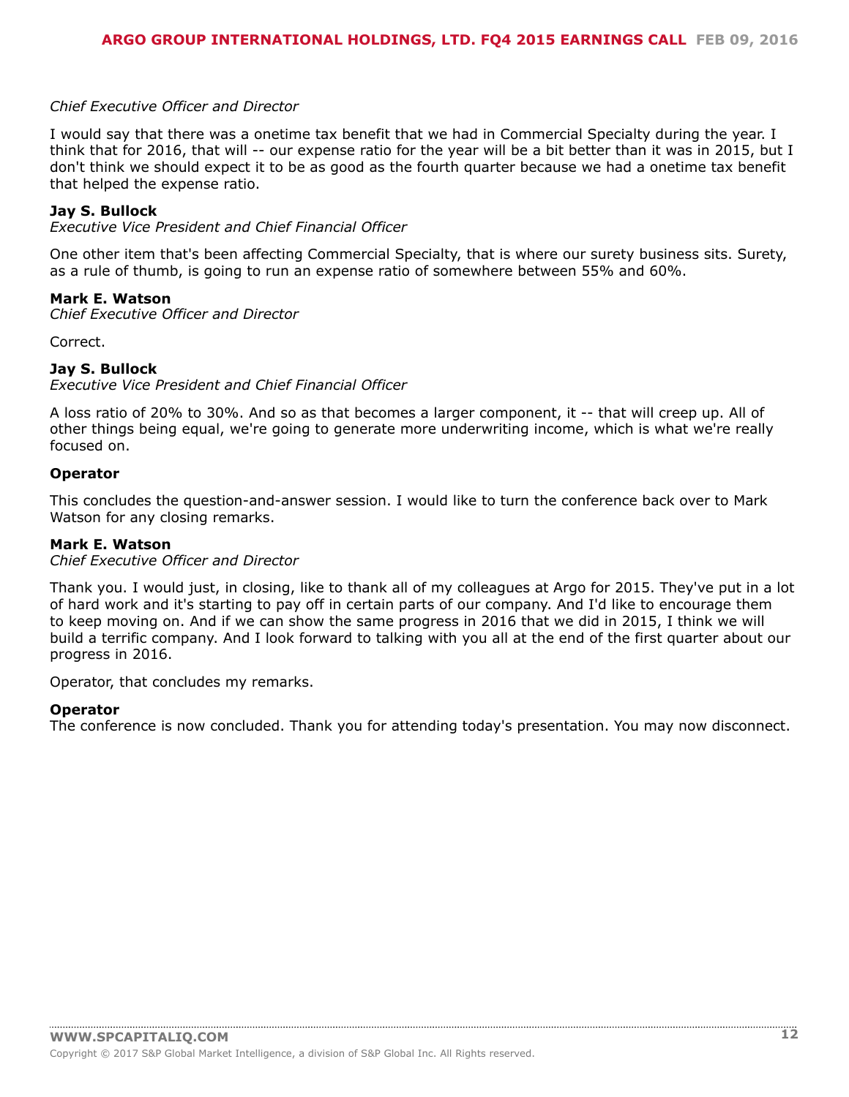# *Chief Executive Officer and Director*

I would say that there was a onetime tax benefit that we had in Commercial Specialty during the year. I think that for 2016, that will -- our expense ratio for the year will be a bit better than it was in 2015, but I don't think we should expect it to be as good as the fourth quarter because we had a onetime tax benefit that helped the expense ratio.

### **Jay S. Bullock**

*Executive Vice President and Chief Financial Officer*

One other item that's been affecting Commercial Specialty, that is where our surety business sits. Surety, as a rule of thumb, is going to run an expense ratio of somewhere between 55% and 60%.

### **Mark E. Watson**

*Chief Executive Officer and Director*

Correct.

### **Jay S. Bullock**

*Executive Vice President and Chief Financial Officer*

A loss ratio of 20% to 30%. And so as that becomes a larger component, it -- that will creep up. All of other things being equal, we're going to generate more underwriting income, which is what we're really focused on.

#### **Operator**

This concludes the question-and-answer session. I would like to turn the conference back over to Mark Watson for any closing remarks.

#### **Mark E. Watson**

*Chief Executive Officer and Director*

Thank you. I would just, in closing, like to thank all of my colleagues at Argo for 2015. They've put in a lot of hard work and it's starting to pay off in certain parts of our company. And I'd like to encourage them to keep moving on. And if we can show the same progress in 2016 that we did in 2015, I think we will build a terrific company. And I look forward to talking with you all at the end of the first quarter about our progress in 2016.

Operator, that concludes my remarks.

#### **Operator**

The conference is now concluded. Thank you for attending today's presentation. You may now disconnect.